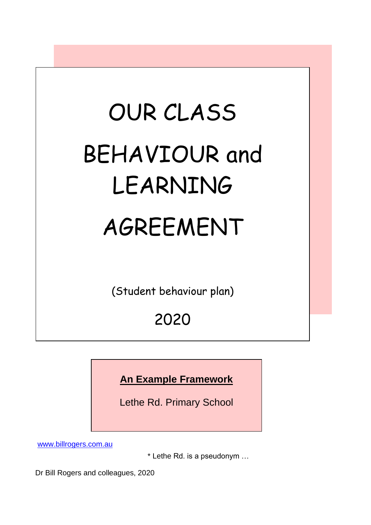# OUR CLASS BEHAVIOUR and LEARNING AGREEMENT

(Student behaviour plan)

## 2020

## **An Example Framework**

Lethe Rd. Primary School

[www.billrogers.com.au](http://www.billrogers.com.au/)

\* Lethe Rd. is a pseudonym …

Dr Bill Rogers and colleagues, 2020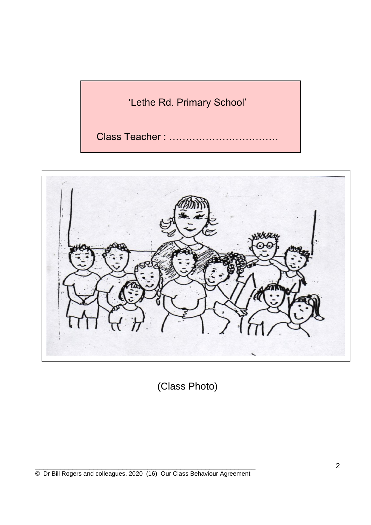## 'Lethe Rd. Primary School'

Class Teacher : ……………………………



(Class Photo)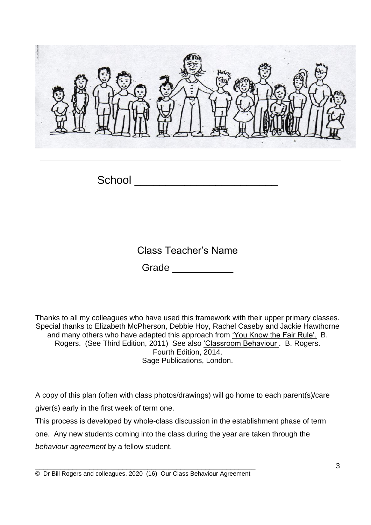

School **and the set of the set of the set of the set of the set of the set of the set of the set of the set of the set of the set of the set of the set of the set of the set of the set of the set of the set of the set of t** 

Class Teacher's Name

Grade \_\_\_\_\_\_\_\_\_\_\_\_\_

Thanks to all my colleagues who have used this framework with their upper primary classes. Special thanks to Elizabeth McPherson, Debbie Hoy, Rachel Caseby and Jackie Hawthorne and many others who have adapted this approach from 'You Know the Fair Rule'. B. Rogers. (See Third Edition, 2011) See also 'Classroom Behaviour . B. Rogers. Fourth Edition, 2014. Sage Publications, London.

A copy of this plan (often with class photos/drawings) will go home to each parent(s)/care giver(s) early in the first week of term one.

This process is developed by whole-class discussion in the establishment phase of term

one. Any new students coming into the class during the year are taken through the *behaviour agreement* by a fellow student.

\_\_\_\_\_\_\_\_\_\_\_\_\_\_\_\_\_\_\_\_\_\_\_\_\_\_\_\_\_\_\_\_\_\_\_\_\_\_\_\_\_\_\_\_\_\_\_\_\_\_\_\_\_ © Dr Bill Rogers and colleagues, 2020 (16) Our Class Behaviour Agreement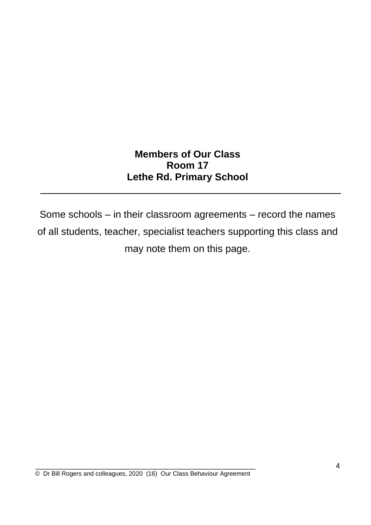#### **Members of Our Class Room 17 Lethe Rd. Primary School**

Some schools – in their classroom agreements – record the names of all students, teacher, specialist teachers supporting this class and may note them on this page.

\_\_\_\_\_\_\_\_\_\_\_\_\_\_\_\_\_\_\_\_\_\_\_\_\_\_\_\_\_\_\_\_\_\_\_\_\_\_\_\_\_\_\_\_\_\_\_\_\_\_\_\_\_ © Dr Bill Rogers and colleagues, 2020 (16) Our Class Behaviour Agreement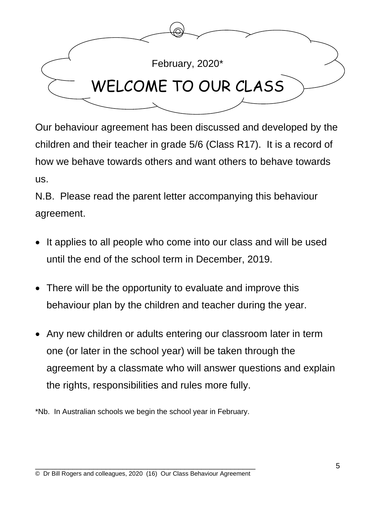

Our behaviour agreement has been discussed and developed by the children and their teacher in grade 5/6 (Class R17). It is a record of how we behave towards others and want others to behave towards us.

N.B. Please read the parent letter accompanying this behaviour agreement.

- It applies to all people who come into our class and will be used until the end of the school term in December, 2019.
- There will be the opportunity to evaluate and improve this behaviour plan by the children and teacher during the year.
- Any new children or adults entering our classroom later in term one (or later in the school year) will be taken through the agreement by a classmate who will answer questions and explain the rights, responsibilities and rules more fully.

\*Nb. In Australian schools we begin the school year in February.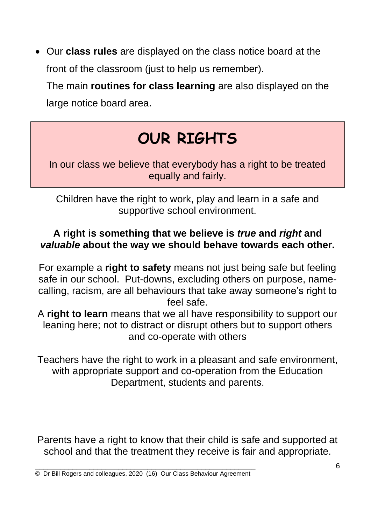• Our **class rules** are displayed on the class notice board at the front of the classroom (just to help us remember).

The main **routines for class learning** are also displayed on the large notice board area.

# **OUR RIGHTS**

In our class we believe that everybody has a right to be treated equally and fairly.

f Children have the right to work, play and learn in a safe and supportive school environment.

## **A right is something that we believe is** *true* **and** *right* **and**  *valuable* **about the way we should behave towards each other.**

For example a **right to safety** means not just being safe but feeling safe in our school. Put-downs, excluding others on purpose, namecalling, racism, are all behaviours that take away someone's right to feel safe.

A **right to learn** means that we all have responsibility to support our leaning here; not to distract or disrupt others but to support others and co-operate with others

Teachers have the right to work in a pleasant and safe environment, with appropriate support and co-operation from the Education Department, students and parents.

Parents have a right to know that their child is safe and supported at school and that the treatment they receive is fair and appropriate.

\_\_\_\_\_\_\_\_\_\_\_\_\_\_\_\_\_\_\_\_\_\_\_\_\_\_\_\_\_\_\_\_\_\_\_\_\_\_\_\_\_\_\_\_\_\_\_\_\_\_\_\_\_ © Dr Bill Rogers and colleagues, 2020 (16) Our Class Behaviour Agreement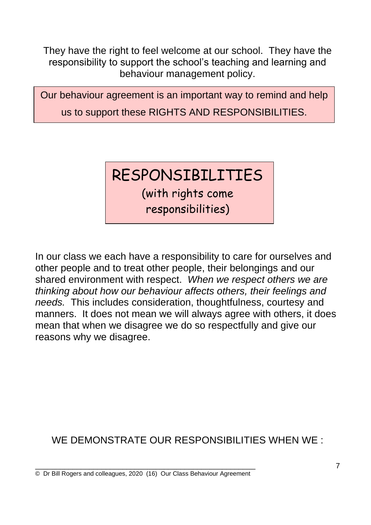They have the right to feel welcome at our school. They have the responsibility to support the school's teaching and learning and behaviour management policy.

Our behaviour agreement is an important way to remind and help us to support these RIGHTS AND RESPONSIBILITIES.



In our class we each have a responsibility to care for ourselves and other people and to treat other people, their belongings and our shared environment with respect. *When we respect others we are thinking about how our behaviour affects others, their feelings and needs.* This includes consideration, thoughtfulness, courtesy and manners. It does not mean we will always agree with others, it does mean that when we disagree we do so respectfully and give our reasons why we disagree.

WE DEMONSTRATE OUR RESPONSIBILITIES WHEN WE :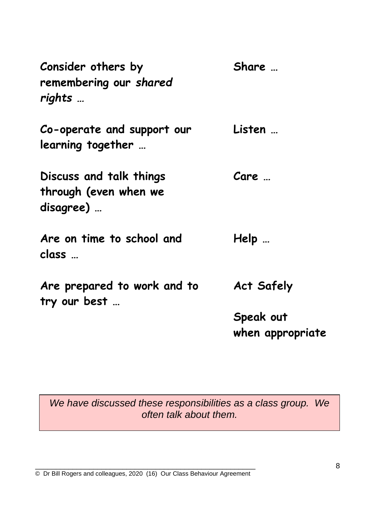| Consider others by<br>remembering our shared<br>rights        | Share                         |
|---------------------------------------------------------------|-------------------------------|
| Co-operate and support our<br>learning together               | Listen                        |
| Discuss and talk things<br>through (even when we<br>disagree) | $C$ are $\ldots$              |
| Are on time to school and<br>class                            | Help                          |
| Are prepared to work and to                                   | <b>Act Safely</b>             |
| try our best                                                  | Speak out<br>when appropriate |

*We have discussed these responsibilities as a class group. We often talk about them.*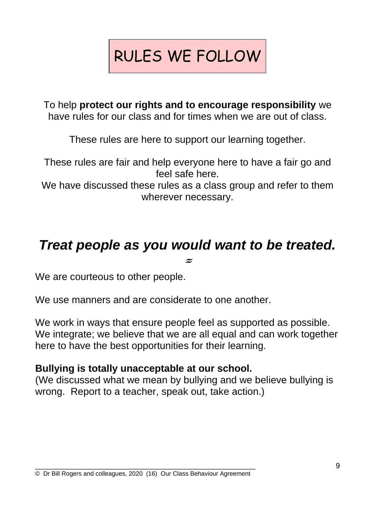# RULES WE FOLLOW

To help **protect our rights and to encourage responsibility** we have rules for our class and for times when we are out of class.

These rules are here to support our learning together.

These rules are fair and help everyone here to have a fair go and feel safe here.

We have discussed these rules as a class group and refer to them wherever necessary.

## *Treat people as you would want to be treated.*

≈

We are courteous to other people.

We use manners and are considerate to one another.

We work in ways that ensure people feel as supported as possible. We integrate; we believe that we are all equal and can work together here to have the best opportunities for their learning.

## **Bullying is totally unacceptable at our school.**

(We discussed what we mean by bullying and we believe bullying is wrong. Report to a teacher, speak out, take action.)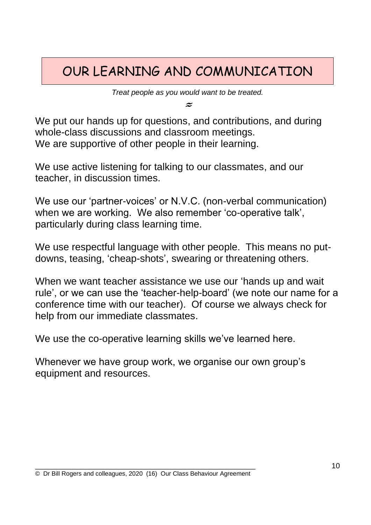## OUR LEARNING AND COMMUNICATION

*Treat people as you would want to be treated.*

≈

We put our hands up for questions, and contributions, and during whole-class discussions and classroom meetings. We are supportive of other people in their learning.

We use active listening for talking to our classmates, and our teacher, in discussion times.

We use our 'partner-voices' or N.V.C. (non-verbal communication) when we are working. We also remember 'co-operative talk', particularly during class learning time.

We use respectful language with other people. This means no putdowns, teasing, 'cheap-shots', swearing or threatening others.

When we want teacher assistance we use our 'hands up and wait rule', or we can use the 'teacher-help-board' (we note our name for a conference time with our teacher). Of course we always check for help from our immediate classmates.

We use the co-operative learning skills we've learned here.

Whenever we have group work, we organise our own group's equipment and resources.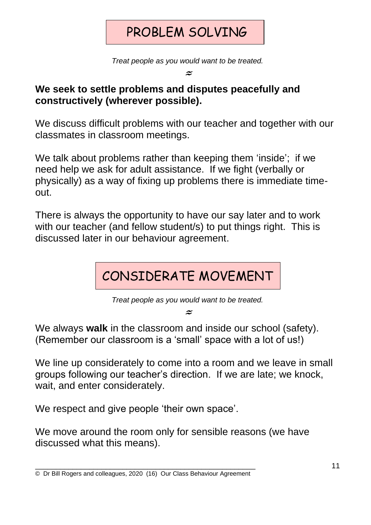## PROBLEM SOLVING

*Treat people as you would want to be treated.*

≈

#### **We seek to settle problems and disputes peacefully and constructively (wherever possible).**

We discuss difficult problems with our teacher and together with our classmates in classroom meetings.

We talk about problems rather than keeping them 'inside'; if we need help we ask for adult assistance. If we fight (verbally or physically) as a way of fixing up problems there is immediate timeout.

There is always the opportunity to have our say later and to work with our teacher (and fellow student/s) to put things right. This is discussed later in our behaviour agreement.



*Treat people as you would want to be treated.*

≈

We always **walk** in the classroom and inside our school (safety). (Remember our classroom is a 'small' space with a lot of us!)

We line up considerately to come into a room and we leave in small groups following our teacher's direction. If we are late; we knock, wait, and enter considerately.

We respect and give people 'their own space'.

We move around the room only for sensible reasons (we have discussed what this means).

\_\_\_\_\_\_\_\_\_\_\_\_\_\_\_\_\_\_\_\_\_\_\_\_\_\_\_\_\_\_\_\_\_\_\_\_\_\_\_\_\_\_\_\_\_\_\_\_\_\_\_\_\_ © Dr Bill Rogers and colleagues, 2020 (16) Our Class Behaviour Agreement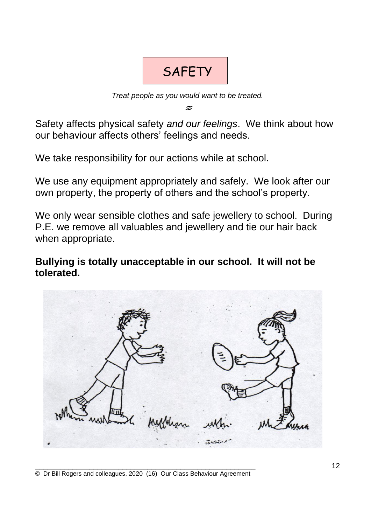

*Treat people as you would want to be treated.*

≈

Safety affects physical safety *and our feelings*. We think about how our behaviour affects others' feelings and needs.

We take responsibility for our actions while at school.

We use any equipment appropriately and safely. We look after our own property, the property of others and the school's property.

We only wear sensible clothes and safe jewellery to school. During P.E. we remove all valuables and jewellery and tie our hair back when appropriate.

#### **Bullying is totally unacceptable in our school. It will not be tolerated.**



\_\_\_\_\_\_\_\_\_\_\_\_\_\_\_\_\_\_\_\_\_\_\_\_\_\_\_\_\_\_\_\_\_\_\_\_\_\_\_\_\_\_\_\_\_\_\_\_\_\_\_\_\_ © Dr Bill Rogers and colleagues, 2020 (16) Our Class Behaviour Agreement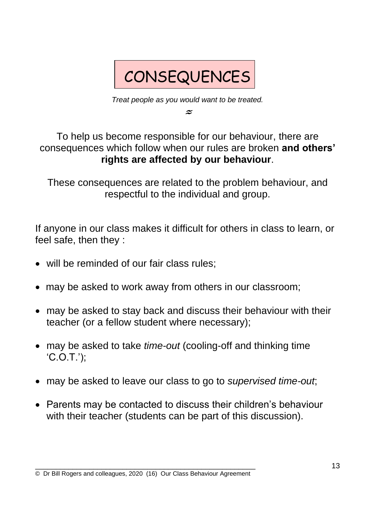

*Treat people as you would want to be treated.*

≈

To help us become responsible for our behaviour, there are consequences which follow when our rules are broken **and others' rights are affected by our behaviour**.

These consequences are related to the problem behaviour, and respectful to the individual and group.

If anyone in our class makes it difficult for others in class to learn, or feel safe, then they :

- will be reminded of our fair class rules;
- may be asked to work away from others in our classroom;
- may be asked to stay back and discuss their behaviour with their teacher (or a fellow student where necessary);
- may be asked to take *time-out* (cooling-off and thinking time 'C.O.T.');
- may be asked to leave our class to go to *supervised time-out*;
- Parents may be contacted to discuss their children's behaviour with their teacher (students can be part of this discussion).

\_\_\_\_\_\_\_\_\_\_\_\_\_\_\_\_\_\_\_\_\_\_\_\_\_\_\_\_\_\_\_\_\_\_\_\_\_\_\_\_\_\_\_\_\_\_\_\_\_\_\_\_\_ © Dr Bill Rogers and colleagues, 2020 (16) Our Class Behaviour Agreement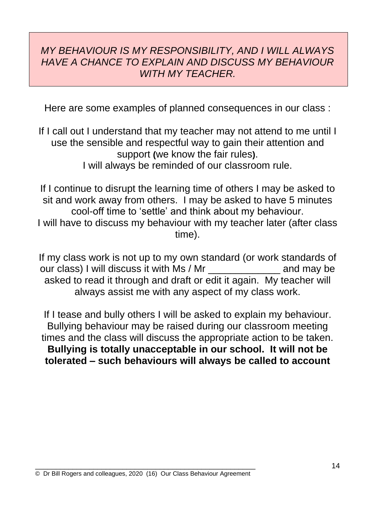## *MY BEHAVIOUR IS MY RESPONSIBILITY, AND I WILL ALWAYS HAVE A CHANCE TO EXPLAIN AND DISCUSS MY BEHAVIOUR WITH MY TEACHER.*

Here are some examples of planned consequences in our class :

If I call out I understand that my teacher may not attend to me until I use the sensible and respectful way to gain their attention and support **(**we know the fair rules**)**. I will always be reminded of our classroom rule.

If I continue to disrupt the learning time of others I may be asked to sit and work away from others. I may be asked to have 5 minutes cool-off time to 'settle' and think about my behaviour. I will have to discuss my behaviour with my teacher later (after class time).

If my class work is not up to my own standard (or work standards of our class) I will discuss it with Ms / Mr \_\_\_\_\_\_\_\_\_\_\_\_\_ and may be asked to read it through and draft or edit it again. My teacher will always assist me with any aspect of my class work.

If I tease and bully others I will be asked to explain my behaviour. Bullying behaviour may be raised during our classroom meeting times and the class will discuss the appropriate action to be taken. **Bullying is totally unacceptable in our school. It will not be tolerated – such behaviours will always be called to account**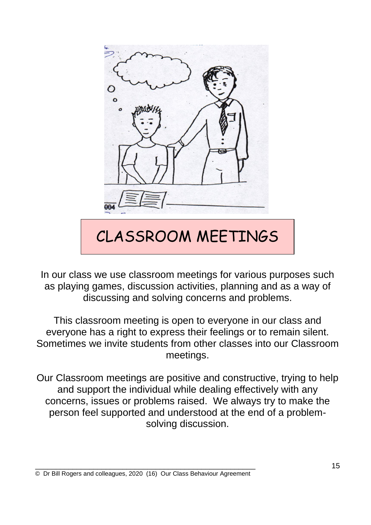

In our class we use classroom meetings for various purposes such as playing games, discussion activities, planning and as a way of discussing and solving concerns and problems.

This classroom meeting is open to everyone in our class and everyone has a right to express their feelings or to remain silent. Sometimes we invite students from other classes into our Classroom meetings.

Our Classroom meetings are positive and constructive, trying to help and support the individual while dealing effectively with any concerns, issues or problems raised. We always try to make the person feel supported and understood at the end of a problemsolving discussion.

\_\_\_\_\_\_\_\_\_\_\_\_\_\_\_\_\_\_\_\_\_\_\_\_\_\_\_\_\_\_\_\_\_\_\_\_\_\_\_\_\_\_\_\_\_\_\_\_\_\_\_\_\_ © Dr Bill Rogers and colleagues, 2020 (16) Our Class Behaviour Agreement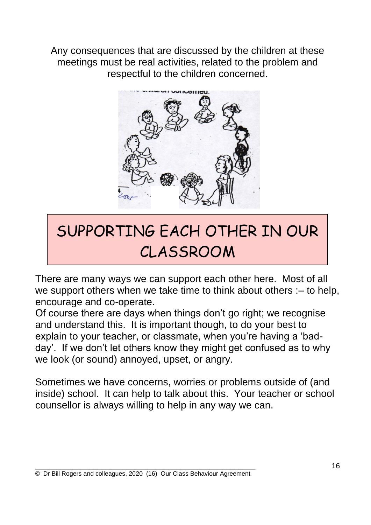Any consequences that are discussed by the children at these meetings must be real activities, related to the problem and respectful to the children concerned.



# SUPPORTING EACH OTHER IN OUR CLASSROOM

There are many ways we can support each other here. Most of all we support others when we take time to think about others :– to help, encourage and co-operate.

Of course there are days when things don't go right; we recognise and understand this. It is important though, to do your best to explain to your teacher, or classmate, when you're having a 'badday'. If we don't let others know they might get confused as to why we look (or sound) annoyed, upset, or angry.

Sometimes we have concerns, worries or problems outside of (and inside) school. It can help to talk about this. Your teacher or school counsellor is always willing to help in any way we can.

\_\_\_\_\_\_\_\_\_\_\_\_\_\_\_\_\_\_\_\_\_\_\_\_\_\_\_\_\_\_\_\_\_\_\_\_\_\_\_\_\_\_\_\_\_\_\_\_\_\_\_\_\_ © Dr Bill Rogers and colleagues, 2020 (16) Our Class Behaviour Agreement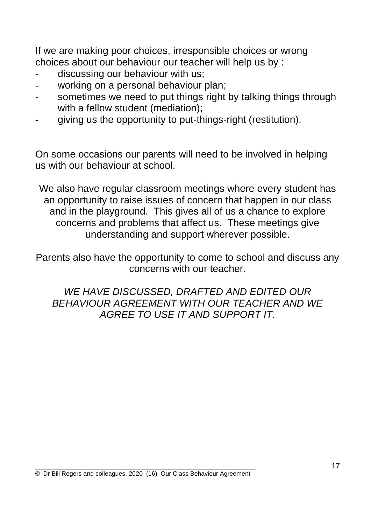If we are making poor choices, irresponsible choices or wrong choices about our behaviour our teacher will help us by :

- discussing our behaviour with us;
- working on a personal behaviour plan;
- sometimes we need to put things right by talking things through with a fellow student (mediation);
- giving us the opportunity to put-things-right (restitution).

On some occasions our parents will need to be involved in helping us with our behaviour at school.

We also have regular classroom meetings where every student has an opportunity to raise issues of concern that happen in our class and in the playground. This gives all of us a chance to explore concerns and problems that affect us. These meetings give understanding and support wherever possible.

Parents also have the opportunity to come to school and discuss any concerns with our teacher.

*WE HAVE DISCUSSED, DRAFTED AND EDITED OUR BEHAVIOUR AGREEMENT WITH OUR TEACHER AND WE AGREE TO USE IT AND SUPPORT IT.*